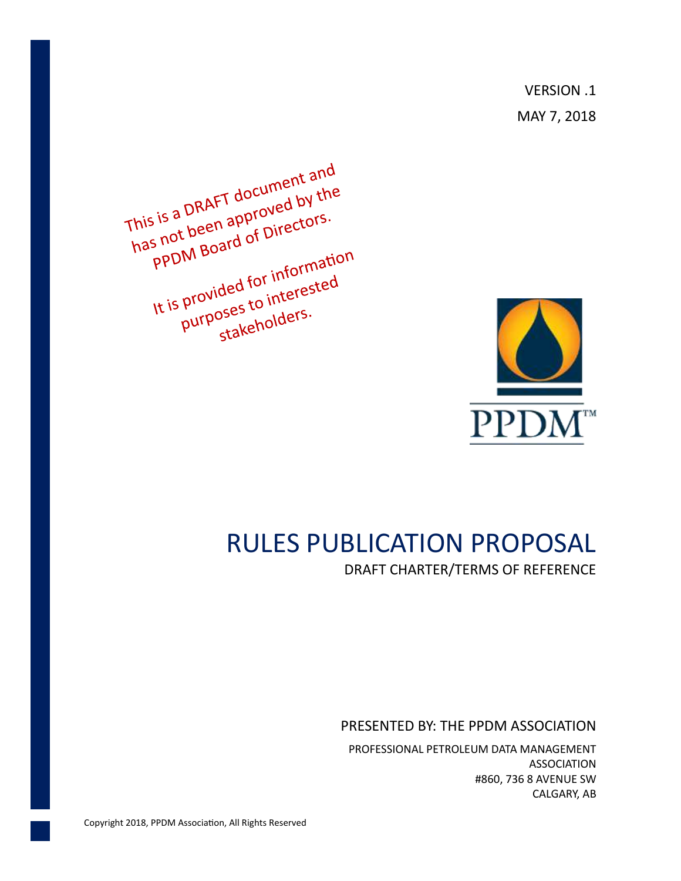VERSION .1 MAY 7, 2018

This is a DRAFT document and<br>This is a DRAFT document and<br>the pot been ad of Directors. This is a DRAFT document and<br>has not been approved by the<br>ppDM Board of Directors. s is a DRAFT sproved by separation of Directors.<br>Is not been approved by separations. Is not a post of the provided for information<br>It is provided for information provided for information<br>purposes to interested<br>purposes to interested oses to lifter oses.



# RULES PUBLICATION PROPOSAL

DRAFT CHARTER/TERMS OF REFERENCE

PRESENTED BY: THE PPDM ASSOCIATION

PROFESSIONAL PETROLEUM DATA MANAGEMENT ASSOCIATION #860, 736 8 AVENUE SW CALGARY, AB

Copyright 2018, PPDM Association, All Rights Reserved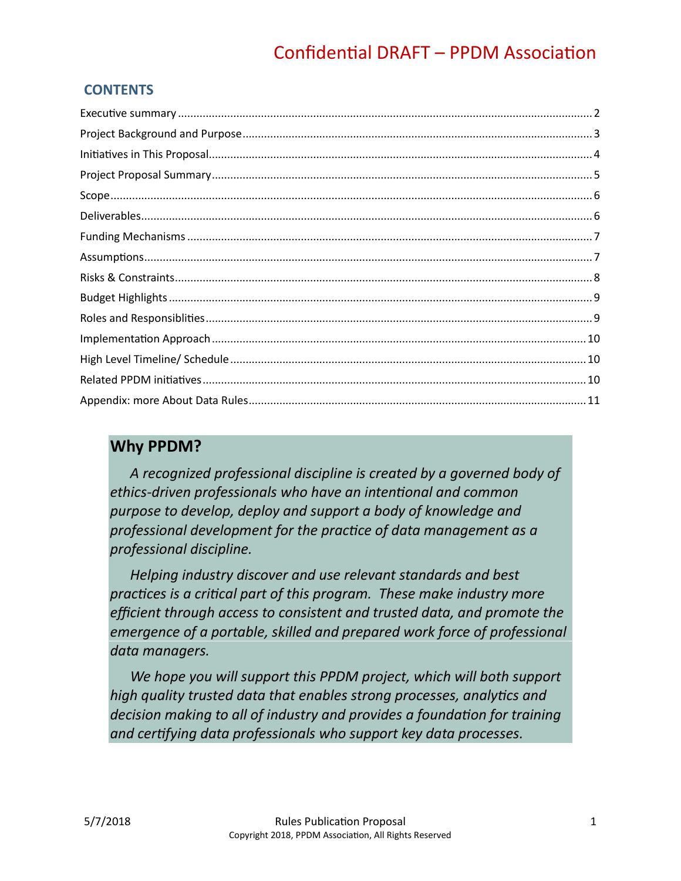# **CONTENTS**

# **Why PPDM?**

*A recognized professional discipline is created by a governed body of ethics-driven professionals who have an intentional and common purpose to develop, deploy and support a body of knowledge and professional development for the practice of data management as a professional discipline.*

*Helping industry discover and use relevant standards and best practices is a critical part of this program. These make industry more efficient through access to consistent and trusted data, and promote the emergence of a portable, skilled and prepared work force of professional data managers.*

*We hope you will support this PPDM project, which will both support high quality trusted data that enables strong processes, analytics and decision making to all of industry and provides a foundation for training and certifying data professionals who support key data processes.*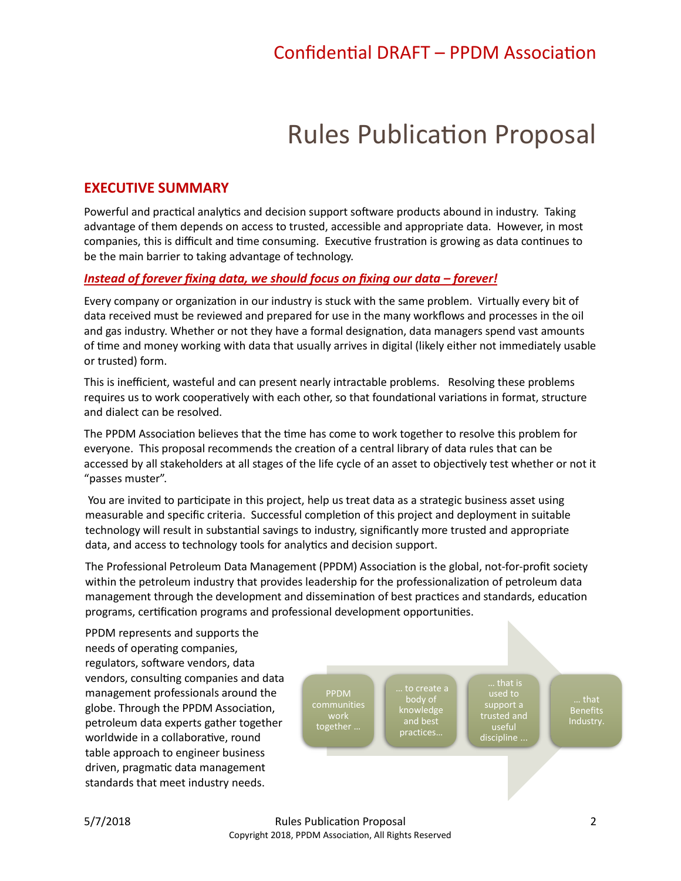# Rules Publication Proposal

## <span id="page-2-0"></span>**EXECUTIVE SUMMARY**

Powerful and practical analytics and decision support software products abound in industry. Taking advantage of them depends on access to trusted, accessible and appropriate data. However, in most companies, this is difficult and time consuming. Executive frustration is growing as data continues to be the main barrier to taking advantage of technology.

#### *Instead of forever fixing data, we should focus on fixing our data – forever!*

Every company or organization in our industry is stuck with the same problem. Virtually every bit of data received must be reviewed and prepared for use in the many workflows and processes in the oil and gas industry. Whether or not they have a formal designation, data managers spend vast amounts of time and money working with data that usually arrives in digital (likely either not immediately usable or trusted) form.

This is inefficient, wasteful and can present nearly intractable problems. Resolving these problems requires us to work cooperatively with each other, so that foundational variations in format, structure and dialect can be resolved.

The PPDM Association believes that the time has come to work together to resolve this problem for everyone. This proposal recommends the creation of a central library of data rules that can be accessed by all stakeholders at all stages of the life cycle of an asset to objectively test whether or not it "passes muster".

You are invited to participate in this project, help us treat data as a strategic business asset using measurable and specific criteria. Successful completion of this project and deployment in suitable technology will result in substantial savings to industry, significantly more trusted and appropriate data, and access to technology tools for analytics and decision support.

The Professional Petroleum Data Management (PPDM) Association is the global, not-for-profit society within the petroleum industry that provides leadership for the professionalization of petroleum data management through the development and dissemination of best practices and standards, education programs, certification programs and professional development opportunities.

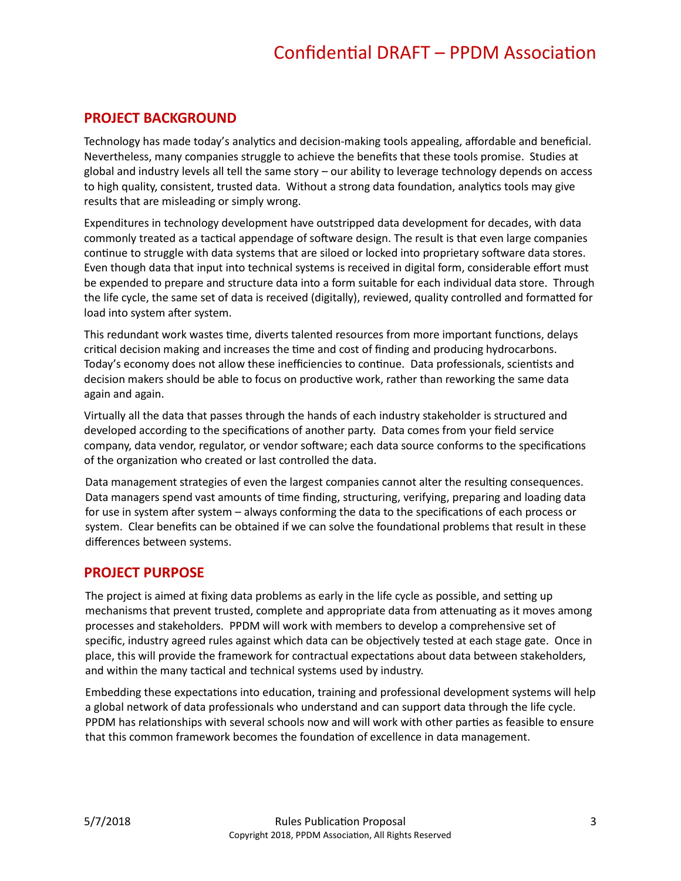### <span id="page-3-0"></span>**PROJECT BACKGROUND**

Technology has made today's analytics and decision-making tools appealing, affordable and beneficial. Nevertheless, many companies struggle to achieve the benefits that these tools promise. Studies at global and industry levels all tell the same story – our ability to leverage technology depends on access to high quality, consistent, trusted data. Without a strong data foundation, analytics tools may give results that are misleading or simply wrong.

Expenditures in technology development have outstripped data development for decades, with data commonly treated as a tactical appendage of software design. The result is that even large companies continue to struggle with data systems that are siloed or locked into proprietary software data stores. Even though data that input into technical systems is received in digital form, considerable effort must be expended to prepare and structure data into a form suitable for each individual data store. Through the life cycle, the same set of data is received (digitally), reviewed, quality controlled and formatted for load into system after system.

This redundant work wastes time, diverts talented resources from more important functions, delays critical decision making and increases the time and cost of finding and producing hydrocarbons. Today's economy does not allow these inefficiencies to continue. Data professionals, scientists and decision makers should be able to focus on productive work, rather than reworking the same data again and again.

Virtually all the data that passes through the hands of each industry stakeholder is structured and developed according to the specifications of another party. Data comes from your field service company, data vendor, regulator, or vendor software; each data source conforms to the specifications of the organization who created or last controlled the data.

Data management strategies of even the largest companies cannot alter the resulting consequences. Data managers spend vast amounts of time finding, structuring, verifying, preparing and loading data for use in system after system – always conforming the data to the specifications of each process or system. Clear benefits can be obtained if we can solve the foundational problems that result in these differences between systems.

#### **PROJECT PURPOSE**

The project is aimed at fixing data problems as early in the life cycle as possible, and setting up mechanisms that prevent trusted, complete and appropriate data from attenuating as it moves among processes and stakeholders. PPDM will work with members to develop a comprehensive set of specific, industry agreed rules against which data can be objectively tested at each stage gate. Once in place, this will provide the framework for contractual expectations about data between stakeholders, and within the many tactical and technical systems used by industry.

Embedding these expectations into education, training and professional development systems will help a global network of data professionals who understand and can support data through the life cycle. PPDM has relationships with several schools now and will work with other parties as feasible to ensure that this common framework becomes the foundation of excellence in data management.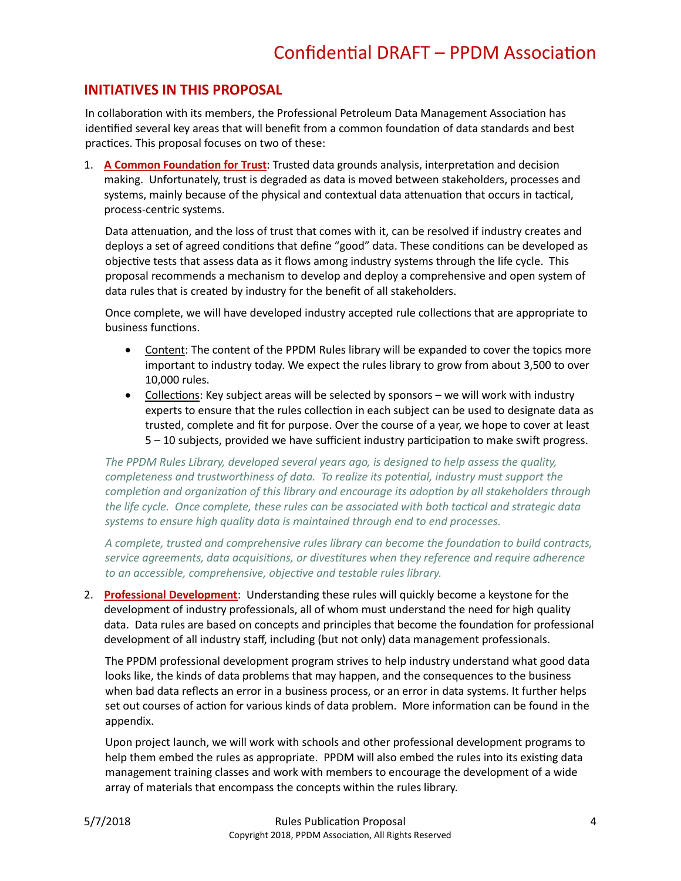### <span id="page-4-0"></span>**INITIATIVES IN THIS PROPOSAL**

In collaboration with its members, the Professional Petroleum Data Management Association has identified several key areas that will benefit from a common foundation of data standards and best practices. This proposal focuses on two of these:

1. **A Common Foundation for Trust**: Trusted data grounds analysis, interpretation and decision making. Unfortunately, trust is degraded as data is moved between stakeholders, processes and systems, mainly because of the physical and contextual data attenuation that occurs in tactical, process-centric systems.

Data attenuation, and the loss of trust that comes with it, can be resolved if industry creates and deploys a set of agreed conditions that define "good" data. These conditions can be developed as objective tests that assess data as it flows among industry systems through the life cycle. This proposal recommends a mechanism to develop and deploy a comprehensive and open system of data rules that is created by industry for the benefit of all stakeholders.

Once complete, we will have developed industry accepted rule collections that are appropriate to business functions.

- Content: The content of the PPDM Rules library will be expanded to cover the topics more important to industry today. We expect the rules library to grow from about 3,500 to over 10,000 rules.
- Collections: Key subject areas will be selected by sponsors we will work with industry experts to ensure that the rules collection in each subject can be used to designate data as trusted, complete and fit for purpose. Over the course of a year, we hope to cover at least 5 – 10 subjects, provided we have sufficient industry participation to make swift progress.

*The PPDM Rules Library, developed several years ago, is designed to help assess the quality, completeness and trustworthiness of data. To realize its potential, industry must support the completion and organization of this library and encourage its adoption by all stakeholders through the life cycle. Once complete, these rules can be associated with both tactical and strategic data systems to ensure high quality data is maintained through end to end processes.* 

*A complete, trusted and comprehensive rules library can become the foundation to build contracts, service agreements, data acquisitions, or divestitures when they reference and require adherence to an accessible, comprehensive, objective and testable rules library.* 

2. **Professional Development**: Understanding these rules will quickly become a keystone for the development of industry professionals, all of whom must understand the need for high quality data. Data rules are based on concepts and principles that become the foundation for professional development of all industry staff, including (but not only) data management professionals.

The PPDM professional development program strives to help industry understand what good data looks like, the kinds of data problems that may happen, and the consequences to the business when bad data reflects an error in a business process, or an error in data systems. It further helps set out courses of action for various kinds of data problem. More information can be found in the appendix.

Upon project launch, we will work with schools and other professional development programs to help them embed the rules as appropriate. PPDM will also embed the rules into its existing data management training classes and work with members to encourage the development of a wide array of materials that encompass the concepts within the rules library.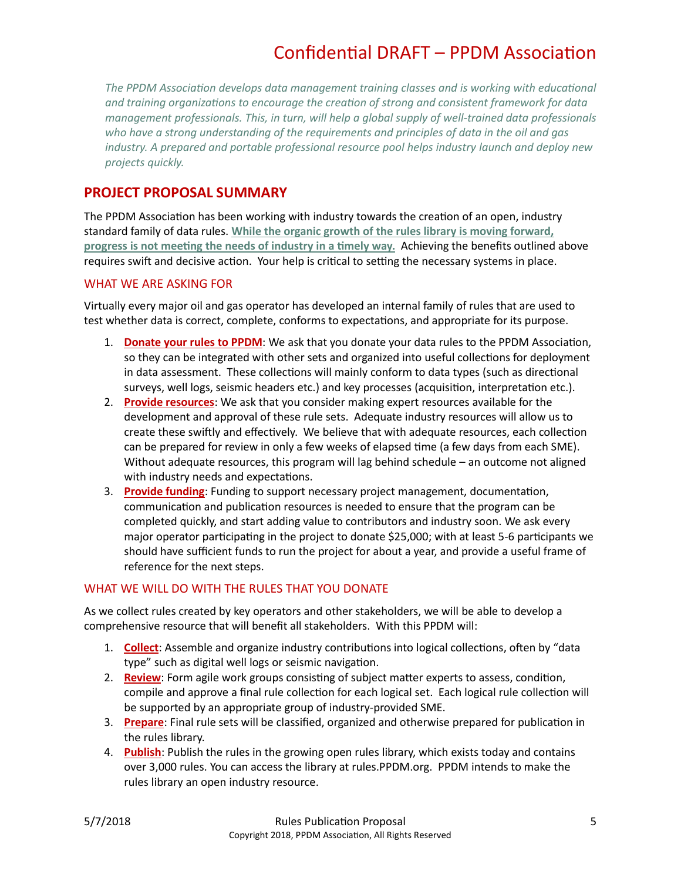*The PPDM Association develops data management training classes and is working with educational and training organizations to encourage the creation of strong and consistent framework for data management professionals. This, in turn, will help a global supply of well-trained data professionals who have a strong understanding of the requirements and principles of data in the oil and gas industry. A prepared and portable professional resource pool helps industry launch and deploy new projects quickly.* 

### <span id="page-5-0"></span>**PROJECT PROPOSAL SUMMARY**

The PPDM Association has been working with industry towards the creation of an open, industry standard family of data rules. **While the organic growth of the rules library is moving forward, progress is not meeting the needs of industry in a timely way.** Achieving the benefits outlined above requires swift and decisive action. Your help is critical to setting the necessary systems in place.

#### WHAT WE ARE ASKING FOR

Virtually every major oil and gas operator has developed an internal family of rules that are used to test whether data is correct, complete, conforms to expectations, and appropriate for its purpose.

- 1. **Donate your rules to PPDM**: We ask that you donate your data rules to the PPDM Association, so they can be integrated with other sets and organized into useful collections for deployment in data assessment. These collections will mainly conform to data types (such as directional surveys, well logs, seismic headers etc.) and key processes (acquisition, interpretation etc.).
- 2. **Provide resources**: We ask that you consider making expert resources available for the development and approval of these rule sets. Adequate industry resources will allow us to create these swiftly and effectively. We believe that with adequate resources, each collection can be prepared for review in only a few weeks of elapsed time (a few days from each SME). Without adequate resources, this program will lag behind schedule – an outcome not aligned with industry needs and expectations.
- 3. **Provide funding**: Funding to support necessary project management, documentation, communication and publication resources is needed to ensure that the program can be completed quickly, and start adding value to contributors and industry soon. We ask every major operator participating in the project to donate \$25,000; with at least 5-6 participants we should have sufficient funds to run the project for about a year, and provide a useful frame of reference for the next steps.

#### WHAT WE WILL DO WITH THE RULES THAT YOU DONATE

As we collect rules created by key operators and other stakeholders, we will be able to develop a comprehensive resource that will benefit all stakeholders. With this PPDM will:

- 1. **Collect**: Assemble and organize industry contributions into logical collections, often by "data type" such as digital well logs or seismic navigation.
- 2. **Review**: Form agile work groups consisting of subject matter experts to assess, condition, compile and approve a final rule collection for each logical set. Each logical rule collection will be supported by an appropriate group of industry-provided SME.
- 3. **Prepare**: Final rule sets will be classified, organized and otherwise prepared for publication in the rules library.
- 4. **Publish**: Publish the rules in the growing open rules library, which exists today and contains over 3,000 rules. You can access the library at rules.PPDM.org. PPDM intends to make the rules library an open industry resource.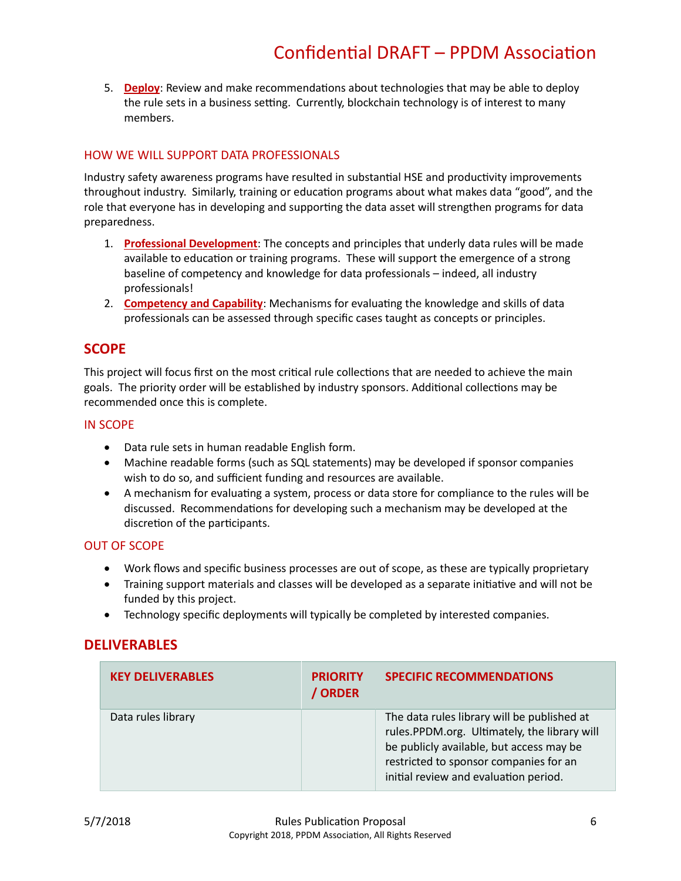5. **Deploy**: Review and make recommendations about technologies that may be able to deploy the rule sets in a business setting. Currently, blockchain technology is of interest to many members.

#### HOW WE WILL SUPPORT DATA PROFESSIONALS

Industry safety awareness programs have resulted in substantial HSE and productivity improvements throughout industry. Similarly, training or education programs about what makes data "good", and the role that everyone has in developing and supporting the data asset will strengthen programs for data preparedness.

- 1. **Professional Development**: The concepts and principles that underly data rules will be made available to education or training programs. These will support the emergence of a strong baseline of competency and knowledge for data professionals – indeed, all industry professionals!
- 2. **Competency and Capability**: Mechanisms for evaluating the knowledge and skills of data professionals can be assessed through specific cases taught as concepts or principles.

### <span id="page-6-0"></span>**SCOPE**

This project will focus first on the most critical rule collections that are needed to achieve the main goals. The priority order will be established by industry sponsors. Additional collections may be recommended once this is complete.

#### IN SCOPE

- Data rule sets in human readable English form.
- Machine readable forms (such as SQL statements) may be developed if sponsor companies wish to do so, and sufficient funding and resources are available.
- A mechanism for evaluating a system, process or data store for compliance to the rules will be discussed. Recommendations for developing such a mechanism may be developed at the discretion of the participants.

#### OUT OF SCOPE

- Work flows and specific business processes are out of scope, as these are typically proprietary
- Training support materials and classes will be developed as a separate initiative and will not be funded by this project.
- <span id="page-6-1"></span>• Technology specific deployments will typically be completed by interested companies.

### **DELIVERABLES**

| <b>KEY DELIVERABLES</b> | <b>PRIORITY</b><br>/ ORDER | <b>SPECIFIC RECOMMENDATIONS</b>                                                                                                                                                                                            |
|-------------------------|----------------------------|----------------------------------------------------------------------------------------------------------------------------------------------------------------------------------------------------------------------------|
| Data rules library      |                            | The data rules library will be published at<br>rules.PPDM.org. Ultimately, the library will<br>be publicly available, but access may be<br>restricted to sponsor companies for an<br>initial review and evaluation period. |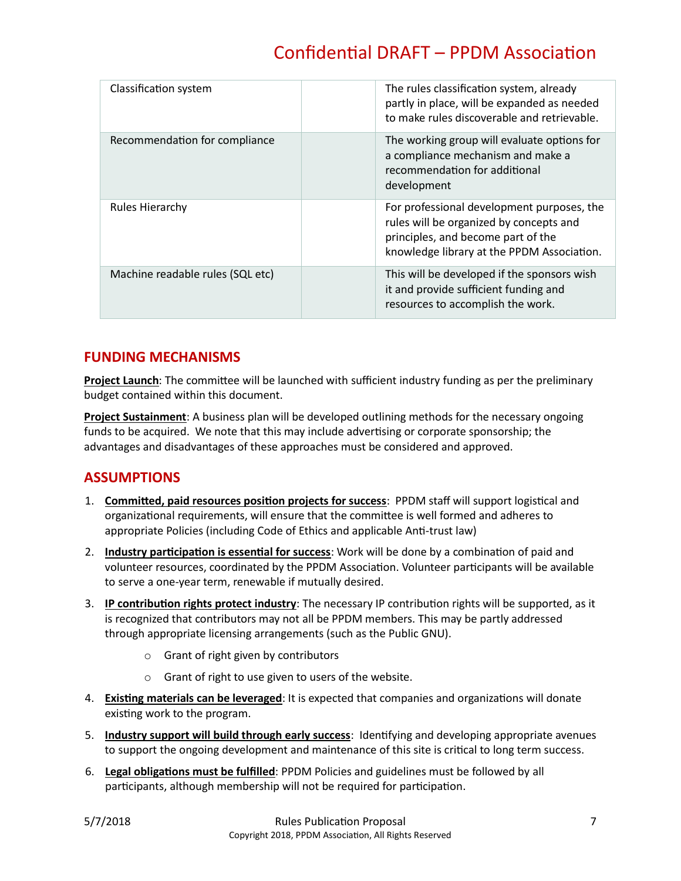| Classification system            | The rules classification system, already<br>partly in place, will be expanded as needed<br>to make rules discoverable and retrievable.                                    |
|----------------------------------|---------------------------------------------------------------------------------------------------------------------------------------------------------------------------|
| Recommendation for compliance    | The working group will evaluate options for<br>a compliance mechanism and make a<br>recommendation for additional<br>development                                          |
| <b>Rules Hierarchy</b>           | For professional development purposes, the<br>rules will be organized by concepts and<br>principles, and become part of the<br>knowledge library at the PPDM Association. |
| Machine readable rules (SQL etc) | This will be developed if the sponsors wish<br>it and provide sufficient funding and<br>resources to accomplish the work.                                                 |

## <span id="page-7-0"></span>**FUNDING MECHANISMS**

**Project Launch**: The committee will be launched with sufficient industry funding as per the preliminary budget contained within this document.

<span id="page-7-1"></span>**Project Sustainment**: A business plan will be developed outlining methods for the necessary ongoing funds to be acquired. We note that this may include advertising or corporate sponsorship; the advantages and disadvantages of these approaches must be considered and approved.

# **ASSUMPTIONS**

- 1. **Committed, paid resources position projects for success**: PPDM staff will support logistical and organizational requirements, will ensure that the committee is well formed and adheres to appropriate Policies (including Code of Ethics and applicable Anti-trust law)
- 2. **Industry participation is essential for success**: Work will be done by a combination of paid and volunteer resources, coordinated by the PPDM Association. Volunteer participants will be available to serve a one-year term, renewable if mutually desired.
- 3. **IP contribution rights protect industry**: The necessary IP contribution rights will be supported, as it is recognized that contributors may not all be PPDM members. This may be partly addressed through appropriate licensing arrangements (such as the Public GNU).
	- o Grant of right given by contributors
	- o Grant of right to use given to users of the website.
- 4. **Existing materials can be leveraged**: It is expected that companies and organizations will donate existing work to the program.
- 5. **Industry support will build through early success**: Identifying and developing appropriate avenues to support the ongoing development and maintenance of this site is critical to long term success.
- 6. **Legal obligations must be fulfilled**: PPDM Policies and guidelines must be followed by all participants, although membership will not be required for participation.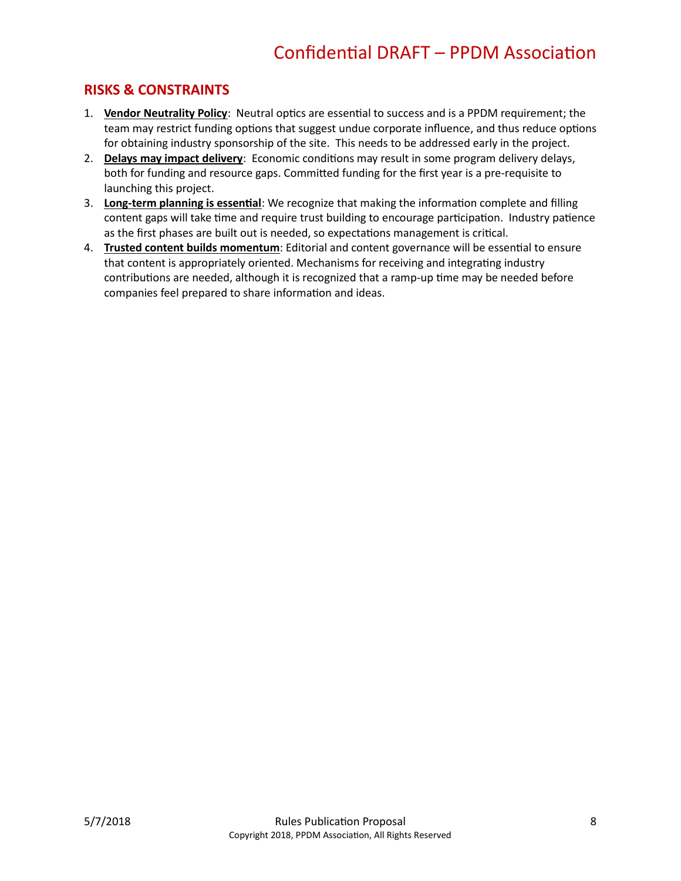## <span id="page-8-0"></span>**RISKS & CONSTRAINTS**

- 1. **Vendor Neutrality Policy**: Neutral optics are essential to success and is a PPDM requirement; the team may restrict funding options that suggest undue corporate influence, and thus reduce options for obtaining industry sponsorship of the site. This needs to be addressed early in the project.
- 2. **Delays may impact delivery**: Economic conditions may result in some program delivery delays, both for funding and resource gaps. Committed funding for the first year is a pre-requisite to launching this project.
- 3. **Long-term planning is essential**: We recognize that making the information complete and filling content gaps will take time and require trust building to encourage participation. Industry patience as the first phases are built out is needed, so expectations management is critical.
- <span id="page-8-1"></span>4. **Trusted content builds momentum**: Editorial and content governance will be essential to ensure that content is appropriately oriented. Mechanisms for receiving and integrating industry contributions are needed, although it is recognized that a ramp-up time may be needed before companies feel prepared to share information and ideas.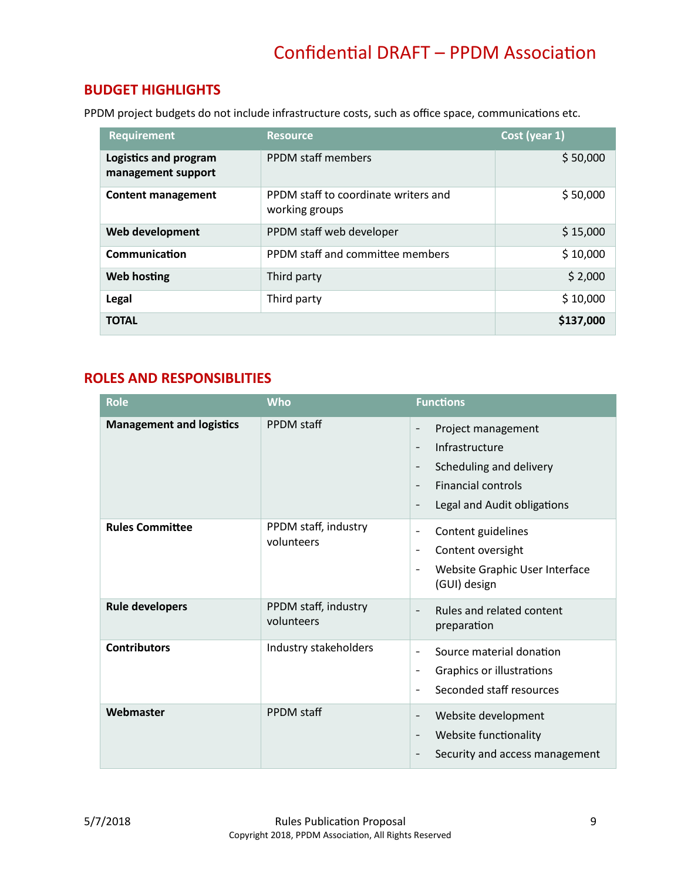# **BUDGET HIGHLIGHTS**

PPDM project budgets do not include infrastructure costs, such as office space, communications etc.

| <b>Requirement</b>                          | <b>Resource</b>                                        | Cost (year 1) |
|---------------------------------------------|--------------------------------------------------------|---------------|
| Logistics and program<br>management support | <b>PPDM</b> staff members                              | \$50,000      |
| Content management                          | PPDM staff to coordinate writers and<br>working groups | \$50,000      |
| Web development                             | PPDM staff web developer                               | \$15,000      |
| Communication                               | PPDM staff and committee members                       | \$10,000      |
| <b>Web hosting</b>                          | Third party                                            | \$2,000       |
| Legal                                       | Third party                                            | \$10,000      |
| <b>TOTAL</b>                                |                                                        | \$137,000     |

### <span id="page-9-0"></span>**ROLES AND RESPONSIBLITIES**

| <b>Role</b>                     | <b>Who</b>                         | <b>Functions</b>                                                                                                                                                                                                                            |
|---------------------------------|------------------------------------|---------------------------------------------------------------------------------------------------------------------------------------------------------------------------------------------------------------------------------------------|
| <b>Management and logistics</b> | PPDM staff                         | Project management<br>Infrastructure<br>$\overline{\phantom{a}}$<br>Scheduling and delivery<br>$\overline{\phantom{a}}$<br><b>Financial controls</b><br>$\overline{\phantom{a}}$<br>Legal and Audit obligations<br>$\overline{\phantom{a}}$ |
| <b>Rules Committee</b>          | PPDM staff, industry<br>volunteers | Content guidelines<br>$\overline{\phantom{a}}$<br>Content oversight<br>$\overline{\phantom{a}}$<br>Website Graphic User Interface<br>$\overline{\phantom{a}}$<br>(GUI) design                                                               |
| <b>Rule developers</b>          | PPDM staff, industry<br>volunteers | Rules and related content<br>$\overline{\phantom{a}}$<br>preparation                                                                                                                                                                        |
| <b>Contributors</b>             | Industry stakeholders              | Source material donation<br>$\overline{\phantom{a}}$<br>Graphics or illustrations<br>$\overline{\phantom{a}}$<br>Seconded staff resources<br>$\overline{\phantom{a}}$                                                                       |
| Webmaster                       | PPDM staff                         | Website development<br>$\overline{\phantom{a}}$<br>Website functionality<br>$\overline{\phantom{a}}$<br>Security and access management                                                                                                      |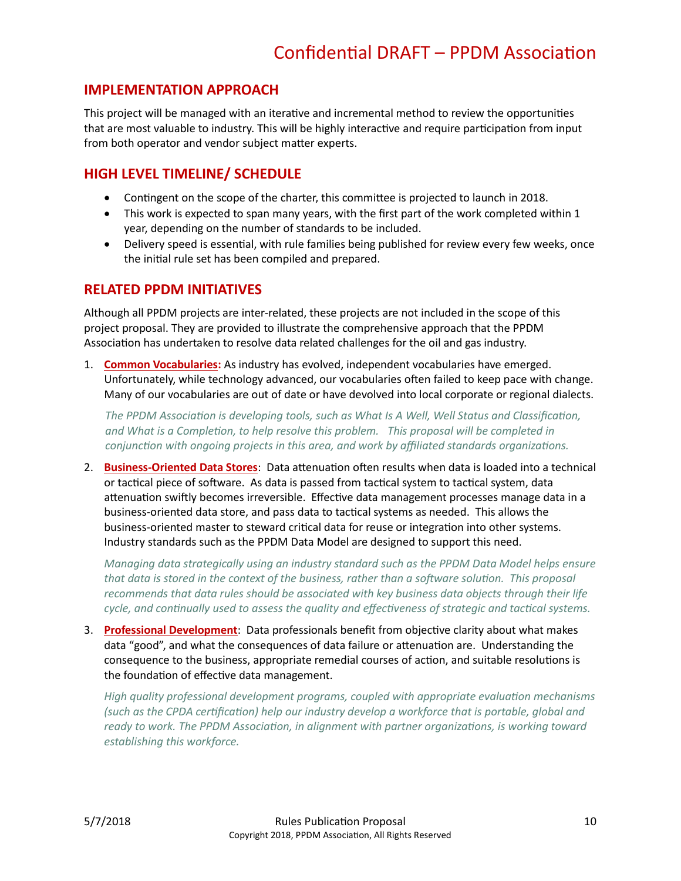### <span id="page-10-0"></span>**IMPLEMENTATION APPROACH**

This project will be managed with an iterative and incremental method to review the opportunities that are most valuable to industry. This will be highly interactive and require participation from input from both operator and vendor subject matter experts.

## <span id="page-10-1"></span>**HIGH LEVEL TIMELINE/ SCHEDULE**

- Contingent on the scope of the charter, this committee is projected to launch in 2018.
- This work is expected to span many years, with the first part of the work completed within 1 year, depending on the number of standards to be included.
- Delivery speed is essential, with rule families being published for review every few weeks, once the initial rule set has been compiled and prepared.

#### <span id="page-10-2"></span>**RELATED PPDM INITIATIVES**

Although all PPDM projects are inter-related, these projects are not included in the scope of this project proposal. They are provided to illustrate the comprehensive approach that the PPDM Association has undertaken to resolve data related challenges for the oil and gas industry.

1. **Common Vocabularies:** As industry has evolved, independent vocabularies have emerged. Unfortunately, while technology advanced, our vocabularies often failed to keep pace with change. Many of our vocabularies are out of date or have devolved into local corporate or regional dialects.

*The PPDM Association is developing tools, such as What Is A Well, Well Status and Classification, and What is a Completion, to help resolve this problem. This proposal will be completed in conjunction with ongoing projects in this area, and work by affiliated standards organizations.* 

2. **Business-Oriented Data Stores**: Data attenuation often results when data is loaded into a technical or tactical piece of software. As data is passed from tactical system to tactical system, data attenuation swiftly becomes irreversible. Effective data management processes manage data in a business-oriented data store, and pass data to tactical systems as needed. This allows the business-oriented master to steward critical data for reuse or integration into other systems. Industry standards such as the PPDM Data Model are designed to support this need.

*Managing data strategically using an industry standard such as the PPDM Data Model helps ensure that data is stored in the context of the business, rather than a software solution. This proposal recommends that data rules should be associated with key business data objects through their life cycle, and continually used to assess the quality and effectiveness of strategic and tactical systems.* 

3. **Professional Development**: Data professionals benefit from objective clarity about what makes data "good", and what the consequences of data failure or attenuation are. Understanding the consequence to the business, appropriate remedial courses of action, and suitable resolutions is the foundation of effective data management.

*High quality professional development programs, coupled with appropriate evaluation mechanisms (such as the CPDA certification) help our industry develop a workforce that is portable, global and ready to work. The PPDM Association, in alignment with partner organizations, is working toward establishing this workforce.*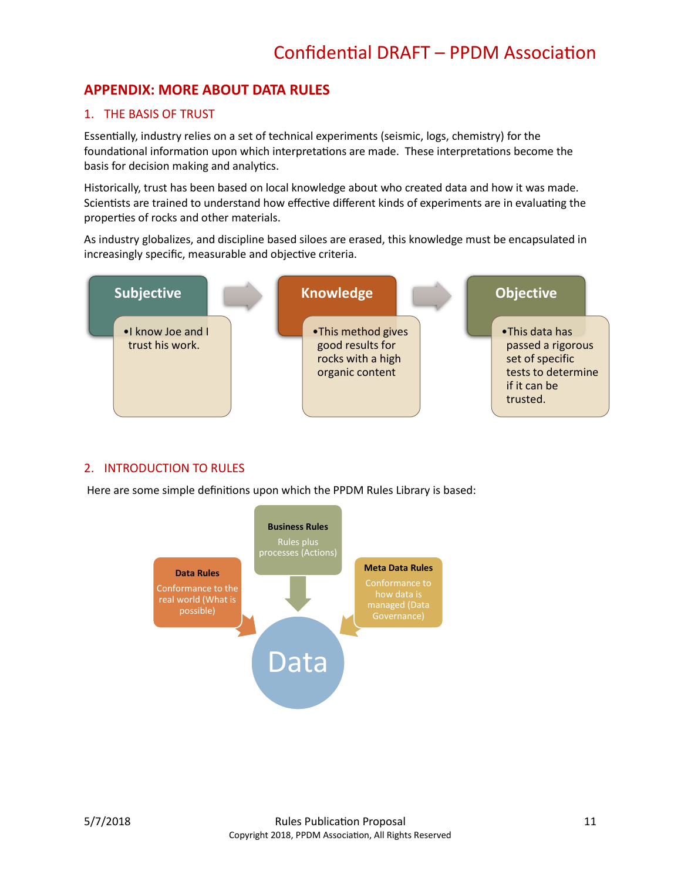# <span id="page-11-0"></span>**APPENDIX: MORE ABOUT DATA RULES**

#### 1. THE BASIS OF TRUST

Essentially, industry relies on a set of technical experiments (seismic, logs, chemistry) for the foundational information upon which interpretations are made. These interpretations become the basis for decision making and analytics.

Historically, trust has been based on local knowledge about who created data and how it was made. Scientists are trained to understand how effective different kinds of experiments are in evaluating the properties of rocks and other materials.

As industry globalizes, and discipline based siloes are erased, this knowledge must be encapsulated in increasingly specific, measurable and objective criteria.



#### 2. INTRODUCTION TO RULES

Here are some simple definitions upon which the PPDM Rules Library is based:

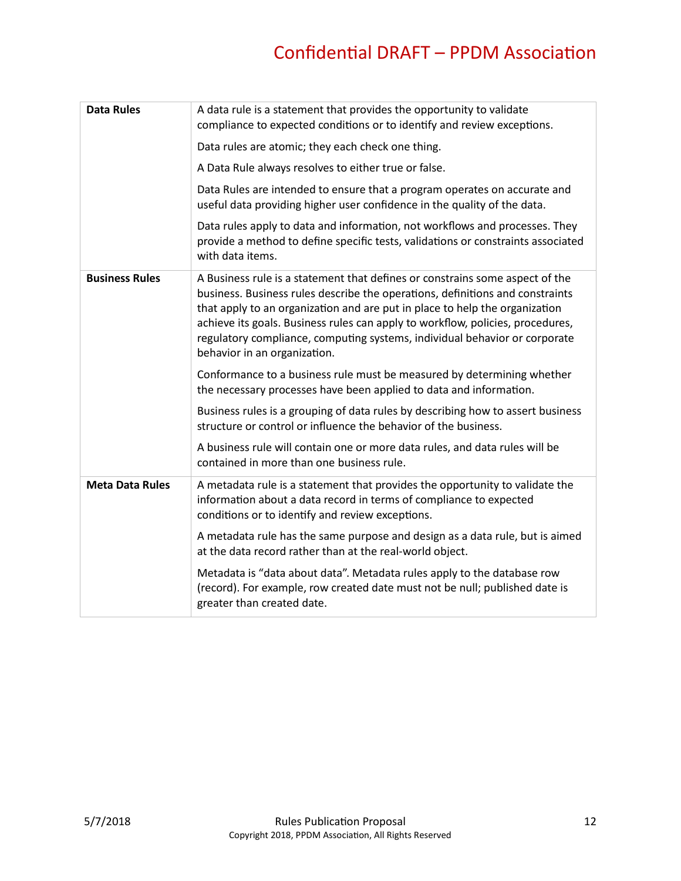| <b>Data Rules</b>      | A data rule is a statement that provides the opportunity to validate<br>compliance to expected conditions or to identify and review exceptions.                                                                                                                                                                                                                                                                                              |
|------------------------|----------------------------------------------------------------------------------------------------------------------------------------------------------------------------------------------------------------------------------------------------------------------------------------------------------------------------------------------------------------------------------------------------------------------------------------------|
|                        | Data rules are atomic; they each check one thing.                                                                                                                                                                                                                                                                                                                                                                                            |
|                        | A Data Rule always resolves to either true or false.                                                                                                                                                                                                                                                                                                                                                                                         |
|                        | Data Rules are intended to ensure that a program operates on accurate and<br>useful data providing higher user confidence in the quality of the data.                                                                                                                                                                                                                                                                                        |
|                        | Data rules apply to data and information, not workflows and processes. They<br>provide a method to define specific tests, validations or constraints associated<br>with data items.                                                                                                                                                                                                                                                          |
| <b>Business Rules</b>  | A Business rule is a statement that defines or constrains some aspect of the<br>business. Business rules describe the operations, definitions and constraints<br>that apply to an organization and are put in place to help the organization<br>achieve its goals. Business rules can apply to workflow, policies, procedures,<br>regulatory compliance, computing systems, individual behavior or corporate<br>behavior in an organization. |
|                        | Conformance to a business rule must be measured by determining whether<br>the necessary processes have been applied to data and information.                                                                                                                                                                                                                                                                                                 |
|                        | Business rules is a grouping of data rules by describing how to assert business<br>structure or control or influence the behavior of the business.                                                                                                                                                                                                                                                                                           |
|                        | A business rule will contain one or more data rules, and data rules will be<br>contained in more than one business rule.                                                                                                                                                                                                                                                                                                                     |
| <b>Meta Data Rules</b> | A metadata rule is a statement that provides the opportunity to validate the<br>information about a data record in terms of compliance to expected<br>conditions or to identify and review exceptions.                                                                                                                                                                                                                                       |
|                        | A metadata rule has the same purpose and design as a data rule, but is aimed<br>at the data record rather than at the real-world object.                                                                                                                                                                                                                                                                                                     |
|                        | Metadata is "data about data". Metadata rules apply to the database row<br>(record). For example, row created date must not be null; published date is<br>greater than created date.                                                                                                                                                                                                                                                         |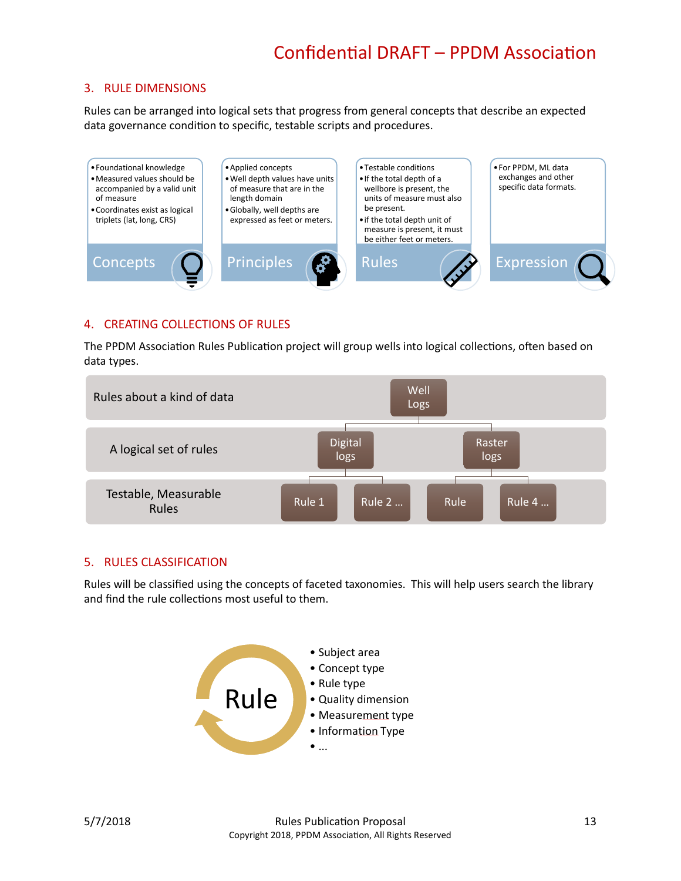### 3. RULE DIMENSIONS

Rules can be arranged into logical sets that progress from general concepts that describe an expected data governance condition to specific, testable scripts and procedures.



#### 4. CREATING COLLECTIONS OF RULES

The PPDM Association Rules Publication project will group wells into logical collections, often based on data types.



#### 5. RULES CLASSIFICATION

Rules will be classified using the concepts of faceted taxonomies. This will help users search the library and find the rule collections most useful to them.